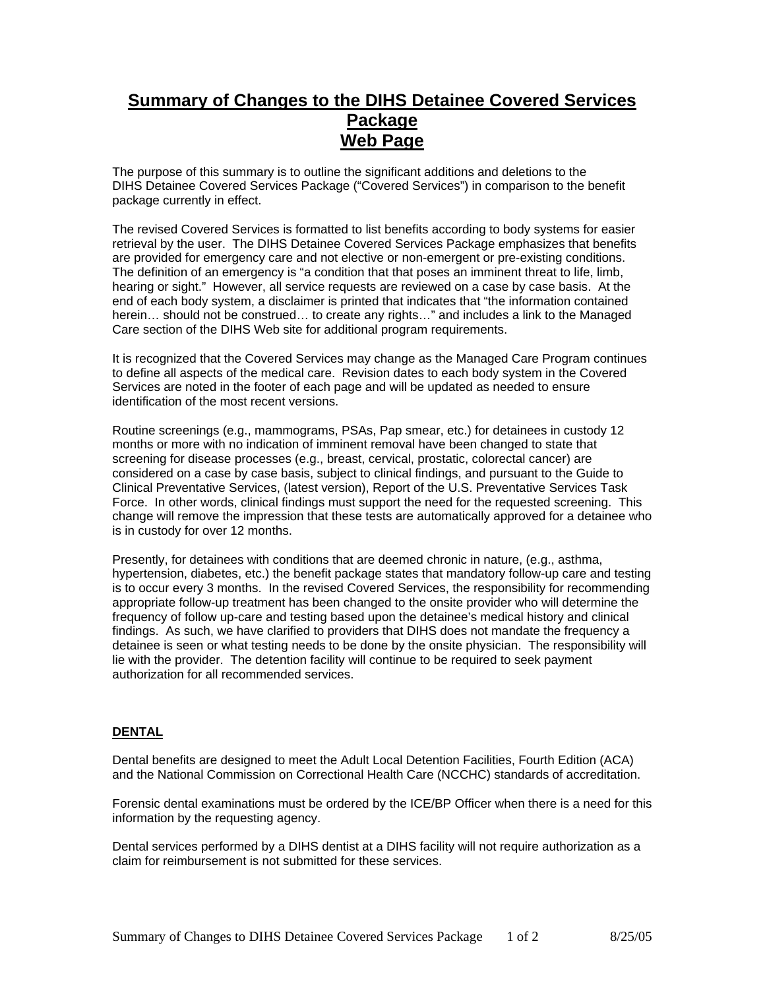# **Summary of Changes to the DIHS Detainee Covered Services Package Web Page**

The purpose of this summary is to outline the significant additions and deletions to the DIHS Detainee Covered Services Package ("Covered Services") in comparison to the benefit package currently in effect.

The revised Covered Services is formatted to list benefits according to body systems for easier retrieval by the user. The DIHS Detainee Covered Services Package emphasizes that benefits are provided for emergency care and not elective or non-emergent or pre-existing conditions. The definition of an emergency is "a condition that that poses an imminent threat to life, limb, hearing or sight." However, all service requests are reviewed on a case by case basis. At the end of each body system, a disclaimer is printed that indicates that "the information contained herein… should not be construed… to create any rights…" and includes a link to the Managed Care section of the DIHS Web site for additional program requirements.

It is recognized that the Covered Services may change as the Managed Care Program continues to define all aspects of the medical care. Revision dates to each body system in the Covered Services are noted in the footer of each page and will be updated as needed to ensure identification of the most recent versions.

Routine screenings (e.g., mammograms, PSAs, Pap smear, etc.) for detainees in custody 12 months or more with no indication of imminent removal have been changed to state that screening for disease processes (e.g., breast, cervical, prostatic, colorectal cancer) are considered on a case by case basis, subject to clinical findings, and pursuant to the Guide to Clinical Preventative Services, (latest version), Report of the U.S. Preventative Services Task Force. In other words, clinical findings must support the need for the requested screening. This change will remove the impression that these tests are automatically approved for a detainee who is in custody for over 12 months.

Presently, for detainees with conditions that are deemed chronic in nature, (e.g., asthma, hypertension, diabetes, etc.) the benefit package states that mandatory follow-up care and testing is to occur every 3 months. In the revised Covered Services, the responsibility for recommending appropriate follow-up treatment has been changed to the onsite provider who will determine the frequency of follow up-care and testing based upon the detainee's medical history and clinical findings. As such, we have clarified to providers that DIHS does not mandate the frequency a detainee is seen or what testing needs to be done by the onsite physician. The responsibility will lie with the provider. The detention facility will continue to be required to seek payment authorization for all recommended services.

# **DENTAL**

Dental benefits are designed to meet the Adult Local Detention Facilities, Fourth Edition (ACA) and the National Commission on Correctional Health Care (NCCHC) standards of accreditation.

Forensic dental examinations must be ordered by the ICE/BP Officer when there is a need for this information by the requesting agency.

Dental services performed by a DIHS dentist at a DIHS facility will not require authorization as a claim for reimbursement is not submitted for these services.